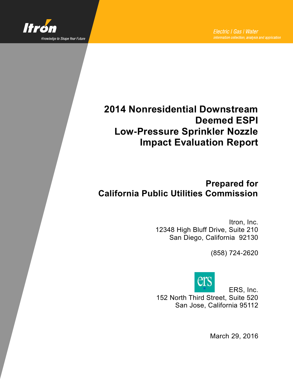

# **2014 Nonresidential Downstream Deemed ESPI Low-Pressure Sprinkler Nozzle Impact Evaluation Report**

# **Prepared for California Public Utilities Commission**

Itron, Inc. 12348 High Bluff Drive, Suite 210 San Diego, California 92130

(858) 724-2620



ERS, Inc.

152 North Third Street, Suite 520 San Jose, California 95112

March 29, 2016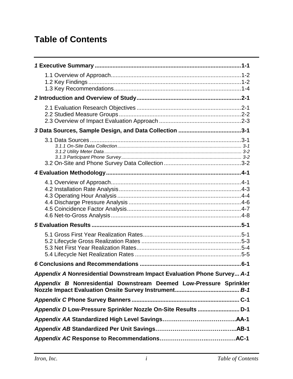# **Table of Contents**

| 5 Evaluation Results …………………………………………………………………………………5-1                 |
|-------------------------------------------------------------------------|
|                                                                         |
|                                                                         |
| Appendix A Nonresidential Downstream Impact Evaluation Phone Survey A-1 |
| Appendix B Nonresidential Downstream Deemed Low-Pressure Sprinkler      |
|                                                                         |
|                                                                         |
|                                                                         |
|                                                                         |
|                                                                         |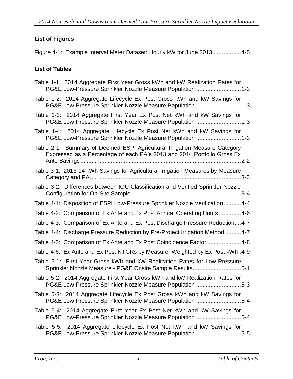## **List of Figures**

[Figure 4-1: Example Interval Meter Dataset: Hourly kW for June 2013..................4-5](#page-22-0)

### **List of Tables**

| Table 1-1: 2014 Aggregate First Year Gross kWh and kW Realization Rates for<br>PG&E Low-Pressure Sprinkler Nozzle Measure Population 1-3              |
|-------------------------------------------------------------------------------------------------------------------------------------------------------|
| Table 1-2: 2014 Aggregate Lifecycle Ex Post Gross kWh and kW Savings for<br>PG&E Low-Pressure Sprinkler Nozzle Measure Population 1-3                 |
| Table 1-3: 2014 Aggregate First Year Ex Post Net kWh and kW Savings for<br>PG&E Low-Pressure Sprinkler Nozzle Measure Population 1-3                  |
| Table 1-4: 2014 Aggregate Lifecycle Ex Post Net kWh and kW Savings for<br>PG&E Low-Pressure Sprinkler Nozzle Measure Population 1-3                   |
| Table 2-1: Summary of Deemed ESPI Agricultural Irrigation Measure Category<br>Expressed as a Percentage of each PA's 2013 and 2014 Portfolio Gross Ex |
| Table 3-1: 2013-14 kWh Savings for Agricultural Irrigation Measures by Measure                                                                        |
| Table 3-2: Differences between IOU Classification and Verified Sprinkler Nozzle                                                                       |
| Table 4-1: Disposition of ESPI Low-Pressure Sprinkler Nozzle Verification4-4                                                                          |
| Table 4-2: Comparison of Ex Ante and Ex Post Annual Operating Hours4-6                                                                                |
| Table 4-3: Comparison of Ex Ante and Ex Post Discharge Pressure Reduction4-7                                                                          |
| Table 4-4: Discharge Pressure Reduction by Pre-Project Irrigation Method 4-7                                                                          |
| Table 4-5: Comparison of Ex Ante and Ex Post Coincidence Factor 4-8                                                                                   |
| Table 4-6: Ex Ante and Ex Post NTGRs by Measure, Weighted by Ex Post kWh. 4-9                                                                         |
| Table 5-1: First Year Gross kWh and kW Realization Rates for Low-Pressure<br>Sprinkler Nozzle Measure - PG&E Onsite Sample Results5-1                 |
| Table 5-2: 2014 Aggregate First Year Gross kWh and kW Realization Rates for<br>PG&E Low-Pressure Sprinkler Nozzle Measure Population 5-3              |
| Table 5-3: 2014 Aggregate Lifecycle Ex Post Gross kWh and kW Savings for<br>PG&E Low-Pressure Sprinkler Nozzle Measure Population 5-4                 |
| Table 5-4: 2014 Aggregate First Year Ex Post Net kWh and kW Savings for<br>PG&E Low-Pressure Sprinkler Nozzle Measure Population 5-4                  |
| Table 5-5: 2014 Aggregate Lifecycle Ex Post Net kWh and kW Savings for<br>PG&E Low-Pressure Sprinkler Nozzle Measure Population 5-5                   |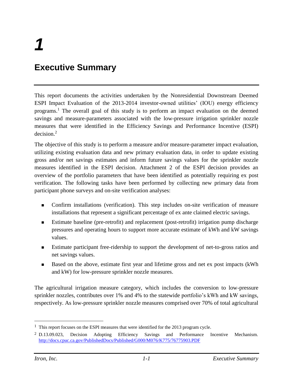# <span id="page-3-0"></span>**Executive Summary**

This report documents the activities undertaken by the Nonresidential Downstream Deemed ESPI Impact Evaluation of the 2013-2014 investor-owned utilities' (IOU) energy efficiency programs. <sup>1</sup> The overall goal of this study is to perform an impact evaluation on the deemed savings and measure-parameters associated with the low-pressure irrigation sprinkler nozzle measures that were identified in the Efficiency Savings and Performance Incentive (ESPI) decision. 2

The objective of this study is to perform a measure and/or measure-parameter impact evaluation, utilizing existing evaluation data and new primary evaluation data, in order to update existing gross and/or net savings estimates and inform future savings values for the sprinkler nozzle measures identified in the ESPI decision. Attachment 2 of the ESPI decision provides an overview of the portfolio parameters that have been identified as potentially requiring ex post verification. The following tasks have been performed by collecting new primary data from participant phone surveys and on-site verification analyses:

- Confirm installations (verification). This step includes on-site verification of measure installations that represent a significant percentage of ex ante claimed electric savings.
- Estimate baseline (pre-retrofit) and replacement (post-retrofit) irrigation pump discharge pressures and operating hours to support more accurate estimate of kWh and kW savings values.
- **Estimate participant free-ridership to support the development of net-to-gross ratios and** net savings values.
- Based on the above, estimate first year and lifetime gross and net ex post impacts (kWh and kW) for low-pressure sprinkler nozzle measures.

The agricultural irrigation measure category, which includes the conversion to low-pressure sprinkler nozzles, contributes over 1% and 4% to the statewide portfolio's kWh and kW savings, respectively. As low-pressure sprinkler nozzle measures comprised over 70% of total agricultural

 $1$  This report focuses on the ESPI measures that were identified for the 2013 program cycle.

<sup>2</sup> D.13.09.023, Decision Adopting Efficiency Savings and Performance Incentive Mechanism[.](http://docs.cpuc.ca.gov/PublishedDocs/Published/G000/M076/K775/76775903.PDF) <http://docs.cpuc.ca.gov/PublishedDocs/Published/G000/M076/K775/76775903.PDF>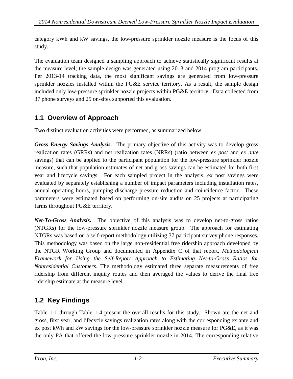category kWh and kW savings, the low-pressure sprinkler nozzle measure is the focus of this study.

The evaluation team designed a sampling approach to achieve statistically significant results at the measure level; the sample design was generated using 2013 and 2014 program participants. Per 2013-14 tracking data, the most significant savings are generated from low-pressure sprinkler nozzles installed within the PG&E service territory. As a result, the sample design included only low-pressure sprinkler nozzle projects within PG&E territory. Data collected from 37 phone surveys and 25 on-sites supported this evaluation.

# <span id="page-4-0"></span>**1.1 Overview of Approach**

Two distinct evaluation activities were performed, as summarized below.

*Gross Energy Savings Analysis.* The primary objective of this activity was to develop gross realization rates (GRRs) and net realization rates (NRRs) (ratio between *ex post* and *ex ante* savings) that can be applied to the participant population for the low-pressure sprinkler nozzle measure, such that population estimates of net and gross savings can be estimated for both first year and lifecycle savings. For each sampled project in the analysis, ex post savings were evaluated by separately establishing a number of impact parameters including installation rates, annual operating hours, pumping discharge pressure reduction and coincidence factor. These parameters were estimated based on performing on-site audits on 25 projects at participating farms throughout PG&E territory.

*Net-To-Gross Analysis.* The objective of this analysis was to develop net-to-gross ratios (NTGRs) for the low-pressure sprinkler nozzle measure group. The approach for estimating NTGRs was based on a self-report methodology utilizing 37 participant survey phone responses. This methodology was based on the large non-residential free ridership approach developed by the NTGR Working Group and documented in Appendix C of that report, *Methodological Framework for Using the Self-Report Approach to Estimating Net-to-Gross Ratios for Nonresidential Customers*. The methodology estimated three separate measurements of free ridership from different inquiry routes and then averaged the values to derive the final free ridership estimate at the measure level.

# <span id="page-4-1"></span>**1.2 Key Findings**

[Table 1-1](#page-5-0) through [Table 1-4](#page-5-3) present the overall results for this study. Shown are the net and gross, first year, and lifecycle savings realization rates along with the corresponding ex ante and ex post kWh and kW savings for the low-pressure sprinkler nozzle measure for PG&E, as it was the only PA that offered the low-pressure sprinkler nozzle in 2014. The corresponding relative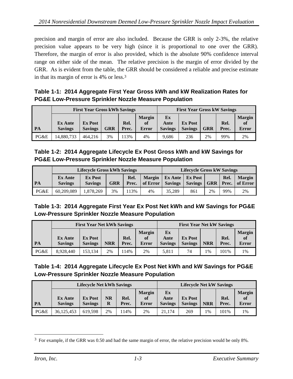precision and margin of error are also included. Because the GRR is only 2-3%, the relative precision value appears to be very high (since it is proportional to one over the GRR). Therefore, the margin of error is also provided, which is the absolute 90% confidence interval range on either side of the mean. The relative precision is the margin of error divided by the GRR. As is evident from the table, the GRR should be considered a reliable and precise estimate in that its margin of error is 4% or less.<sup>3</sup>

<span id="page-5-0"></span>**Table 1-1: 2014 Aggregate First Year Gross kWh and kW Realization Rates for PG&E Low-Pressure Sprinkler Nozzle Measure Population**

|           | <b>First Year Gross kWh Savings</b> |                                  |            |               |                                     | <b>First Year Gross kW Savings</b> |                                  |            |               |                              |
|-----------|-------------------------------------|----------------------------------|------------|---------------|-------------------------------------|------------------------------------|----------------------------------|------------|---------------|------------------------------|
| <b>PA</b> | <b>Ex Ante</b><br><b>Savings</b>    | <b>Ex Post</b><br><b>Savings</b> | <b>GRR</b> | Rel.<br>Prec. | <b>Margin</b><br>of<br><b>Error</b> | Ex<br>Ante<br><b>Savings</b>       | <b>Ex Post</b><br><b>Savings</b> | <b>GRR</b> | Rel.<br>Prec. | <b>Margin</b><br>of<br>Error |
| PG&E      | 14,880,733                          | 464,216                          | 3%         | 13%           | 4%                                  | 9.686                              | 236                              | 2%         | 99%           | 2%                           |

<span id="page-5-1"></span>

| Table 1-2: 2014 Aggregate Lifecycle Ex Post Gross kWh and kW Savings for |
|--------------------------------------------------------------------------|
| <b>PG&amp;E Low-Pressure Sprinkler Nozzle Measure Population</b>         |

|      | <b>Lifecycle Gross kWh Savings</b> |                                  |            |               |                           |                           | <b>Lifecycle Gross kW Savings</b> |            |      |                                        |  |
|------|------------------------------------|----------------------------------|------------|---------------|---------------------------|---------------------------|-----------------------------------|------------|------|----------------------------------------|--|
| PA   | <b>Ex Ante</b><br><b>Savings</b>   | <b>Ex Post</b><br><b>Savings</b> | <b>GRR</b> | Rel.<br>Prec. | <b>Margin</b><br>of Error | Ex Ante<br><b>Savings</b> | <b>Ex Post</b><br><b>Savings</b>  | <b>GRR</b> | Rel. | <b>Margin</b><br><b>Prec.</b> of Error |  |
| PG&E | 60.209.089                         | 1,878,269                        | 3%         | 13%           | 4%                        | 35.289                    | 861                               | 2%         | 99%  | 2%                                     |  |

### <span id="page-5-2"></span>**Table 1-3: 2014 Aggregate First Year Ex Post Net kWh and kW Savings for PG&E Low-Pressure Sprinkler Nozzle Measure Population**

|      | <b>First Year Net kWh Savings</b> |                                  |            |               |                                     | <b>First Year Net kW Savings</b> |                                  |            |               |                                     |
|------|-----------------------------------|----------------------------------|------------|---------------|-------------------------------------|----------------------------------|----------------------------------|------------|---------------|-------------------------------------|
| PA   | <b>Ex Ante</b><br><b>Savings</b>  | <b>Ex Post</b><br><b>Savings</b> | <b>NRR</b> | Rel.<br>Prec. | <b>Margin</b><br>of<br><b>Error</b> | Ex<br>Ante<br><b>Savings</b>     | <b>Ex Post</b><br><b>Savings</b> | <b>NRR</b> | Rel.<br>Prec. | <b>Margin</b><br><b>of</b><br>Error |
| PG&E | 8.928.440                         | 153.134                          | 2%         | 14%           | 2%                                  | 5.811                            | 74                               | 1%         | 101%          | 1%                                  |

## <span id="page-5-3"></span>**Table 1-4: 2014 Aggregate Lifecycle Ex Post Net kWh and kW Savings for PG&E Low-Pressure Sprinkler Nozzle Measure Population**

|      | <b>Lifecycle Net kWh Savings</b> |                                  |               |               |                                     |                              | <b>Lifecycle Net kW Savings</b>  |            |               |                                     |  |
|------|----------------------------------|----------------------------------|---------------|---------------|-------------------------------------|------------------------------|----------------------------------|------------|---------------|-------------------------------------|--|
| PA   | <b>Ex Ante</b><br><b>Savings</b> | <b>Ex Post</b><br><b>Savings</b> | $\bf NR$<br>R | Rel.<br>Prec. | <b>Margin</b><br>of<br><b>Error</b> | Ex<br>Ante<br><b>Savings</b> | <b>Ex Post</b><br><b>Savings</b> | <b>NRR</b> | Rel.<br>Prec. | <b>Margin</b><br>of<br><b>Error</b> |  |
| PG&E | 36,125,453                       | 619.598                          | 2%            | 14%           | 2%                                  | 21.174                       | 269                              | $1\%$      | 101%          | 1%                                  |  |

<sup>&</sup>lt;sup>3</sup> For example, if the GRR was 0.50 and had the same margin of error, the relative precision would be only 8%.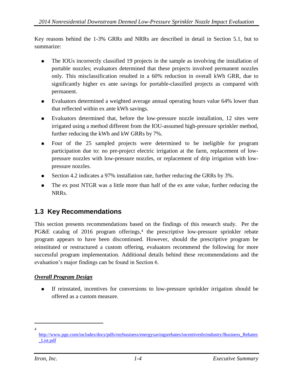Key reasons behind the 1-3% GRRs and NRRs are described in detail in Section 5.1, but to summarize:

- The IOUs incorrectly classified 19 projects in the sample as involving the installation of portable nozzles; evaluators determined that these projects involved permanent nozzles only. This misclassification resulted in a 60% reduction in overall kWh GRR, due to significantly higher ex ante savings for portable-classified projects as compared with permanent.
- Evaluators determined a weighted average annual operating hours value 64% lower than that reflected within ex ante kWh savings.
- Evaluators determined that, before the low-pressure nozzle installation, 12 sites were irrigated using a method different from the IOU-assumed high-pressure sprinkler method, further reducing the kWh and kW GRRs by 7%.
- Four of the 25 sampled projects were determined to be ineligible for program participation due to: no pre-project electric irrigation at the farm, replacement of lowpressure nozzles with low-pressure nozzles, or replacement of drip irrigation with lowpressure nozzles.
- Section 4.2 indicates a 97% installation rate, further reducing the GRRs by 3%.
- The ex post NTGR was a little more than half of the ex ante value, further reducing the NRRs.

## <span id="page-6-0"></span>**1.3 Key Recommendations**

This section presents recommendations based on the findings of this research study. Per the PG&E catalog of 2016 program offerings,<sup>4</sup> the prescriptive low-pressure sprinkler rebate program appears to have been discontinued. However, should the prescriptive program be reinstituted or restructured a custom offering, evaluators recommend the following for more successful program implementation. Additional details behind these recommendations and the evaluation's major findings can be found in Section 6.

### *Overall Program Design*

 If reinstated, incentives for conversions to low-pressure sprinkler irrigation should be offered as a custom measure.

 $\overline{a}$ 4

[http://www.pge.com/includes/docs/pdfs/mybusiness/energysavingsrebates/incentivesbyindustry/Business\\_Rebates](http://www.pge.com/includes/docs/pdfs/mybusiness/energysavingsrebates/incentivesbyindustry/Business_Rebates_List.pdf) [\\_List.pdf](http://www.pge.com/includes/docs/pdfs/mybusiness/energysavingsrebates/incentivesbyindustry/Business_Rebates_List.pdf)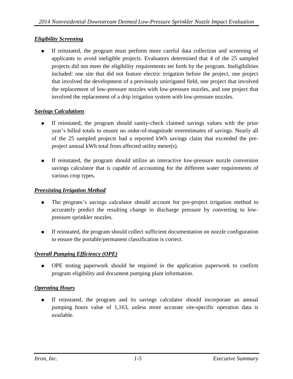### *Eligibility Screening*

 If reinstated, the program must perform more careful data collection and screening of applicants to avoid ineligible projects. Evaluators determined that 4 of the 25 sampled projects did not meet the eligibility requirements set forth by the program. Ineligibilities included: one site that did not feature electric irrigation before the project, one project that involved the development of a previously unirrigated field, one project that involved the replacement of low-pressure nozzles with low-pressure nozzles, and one project that involved the replacement of a drip irrigation system with low-pressure nozzles.

#### *Savings Calculations*

- If reinstated, the program should sanity-check claimed savings values with the prior year's billed totals to ensure no order-of-magnitude overestimates of savings. Nearly all of the 25 sampled projects had a reported kWh savings claim that exceeded the preproject annual kWh total from affected utility meter(s).
- If reinstated, the program should utilize an interactive low-pressure nozzle conversion savings calculator that is capable of accounting for the different water requirements of various crop types.

#### *Preexisting Irrigation Method*

- The program's savings calculator should account for pre-project irrigation method to accurately predict the resulting change in discharge pressure by converting to lowpressure sprinkler nozzles.
- If reinstated, the program should collect sufficient documentation on nozzle configuration to ensure the portable/permanent classification is correct.

### *Overall Pumping Efficiency (OPE)*

 OPE testing paperwork should be required in the application paperwork to confirm program eligibility and document pumping plant information.

#### *Operating Hours*

 If reinstated, the program and its savings calculator should incorporate an annual pumping hours value of 1,163, unless more accurate site-specific operation data is available.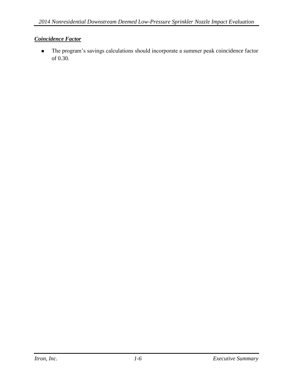### *Coincidence Factor*

 The program's savings calculations should incorporate a summer peak coincidence factor of 0.30.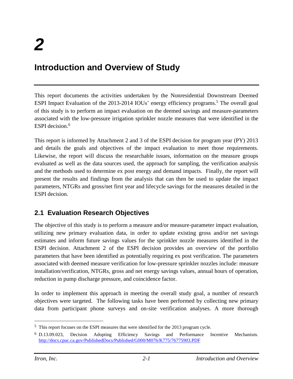# <span id="page-9-0"></span>**Introduction and Overview of Study**

This report documents the activities undertaken by the Nonresidential Downstream Deemed ESPI Impact Evaluation of the 2013-2014 IOUs' energy efficiency programs.<sup>5</sup> The overall goal of this study is to perform an impact evaluation on the deemed savings and measure-parameters associated with the low-pressure irrigation sprinkler nozzle measures that were identified in the ESPI decision. 6

This report is informed by Attachment 2 and 3 of the ESPI decision for program year (PY) 2013 and details the goals and objectives of the impact evaluation to meet those requirements. Likewise, the report will discuss the researchable issues, information on the measure groups evaluated as well as the data sources used, the approach for sampling, the verification analysis and the methods used to determine ex post energy and demand impacts. Finally, the report will present the results and findings from the analysis that can then be used to update the impact parameters, NTGRs and gross/net first year and lifecycle savings for the measures detailed in the ESPI decision.

## <span id="page-9-1"></span>**2.1 Evaluation Research Objectives**

The objective of this study is to perform a measure and/or measure-parameter impact evaluation, utilizing new primary evaluation data, in order to update existing gross and/or net savings estimates and inform future savings values for the sprinkler nozzle measures identified in the ESPI decision. Attachment 2 of the ESPI decision provides an overview of the portfolio parameters that have been identified as potentially requiring ex post verification. The parameters associated with deemed measure verification for low-pressure sprinkler nozzles include: measure installation/verification, NTGRs, gross and net energy savings values, annual hours of operation, reduction in pump discharge pressure, and coincidence factor.

In order to implement this approach in meeting the overall study goal, a number of research objectives were targeted. The following tasks have been performed by collecting new primary data from participant phone surveys and on-site verification analyses. A more thorough

<sup>5</sup> This report focuses on the ESPI measures that were identified for the 2013 program cycle.

<sup>6</sup> D.13.09.023, Decision Adopting Efficiency Savings and Performance Incentive Mechanism[.](http://docs.cpuc.ca.gov/PublishedDocs/Published/G000/M076/K775/76775903.PDF) <http://docs.cpuc.ca.gov/PublishedDocs/Published/G000/M076/K775/76775903.PDF>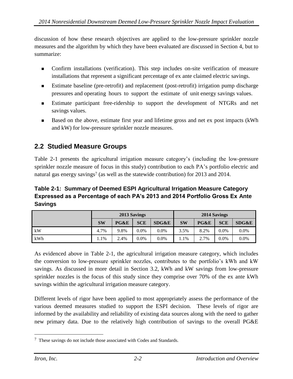discussion of how these research objectives are applied to the low-pressure sprinkler nozzle measures and the algorithm by which they have been evaluated are discussed in Section 4, but to summarize:

- Confirm installations (verification). This step includes on-site verification of measure installations that represent a significant percentage of ex ante claimed electric savings.
- Estimate baseline (pre-retrofit) and replacement (post-retrofit) irrigation pump discharge pressures and operating hours to support the estimate of unit energy savings values.
- Estimate participant free-ridership to support the development of NTGRs and net savings values.
- **Based on the above, estimate first year and lifetime gross and net ex post impacts (kWh** and kW) for low-pressure sprinkler nozzle measures.

## <span id="page-10-0"></span>**2.2 Studied Measure Groups**

Table 2-1 presents the agricultural irrigation measure category's (including the low-pressure sprinkler nozzle measure of focus in this study) contribution to each PA's portfolio electric and natural gas energy savings<sup>7</sup> (as well as the statewide contribution) for 2013 and 2014.

### <span id="page-10-1"></span>**Table 2-1: Summary of Deemed ESPI Agricultural Irrigation Measure Category Expressed as a Percentage of each PA's 2013 and 2014 Portfolio Gross Ex Ante Savings**

|     |           | 2013 Savings |            |                  | 2014 Savings |      |            |         |  |
|-----|-----------|--------------|------------|------------------|--------------|------|------------|---------|--|
|     | <b>SW</b> | PG&E         | <b>SCE</b> | <b>SDG&amp;E</b> | <b>SW</b>    | PG&E | <b>SCE</b> | SDG&E   |  |
| kW  | 4.7%      | 9.8%         | 0.0%       | $0.0\%$          | 3.5%         | 8.2% | $0.0\%$    | $0.0\%$ |  |
| kWh | 1.1%      | 2.4%         | $0.0\%$    | $0.0\%$          | 1%           | 2.7% | $0.0\%$    | $0.0\%$ |  |

As evidenced above in Table 2-1, the agricultural irrigation measure category, which includes the conversion to low-pressure sprinkler nozzles, contributes to the portfolio's kWh and kW savings. As discussed in more detail in Section 3.2, kWh and kW savings from low-pressure sprinkler nozzles is the focus of this study since they comprise over 70% of the ex ante kWh savings within the agricultural irrigation measure category.

Different levels of rigor have been applied to most appropriately assess the performance of the various deemed measures studied to support the ESPI decision. These levels of rigor are informed by the availability and reliability of existing data sources along with the need to gather new primary data. Due to the relatively high contribution of savings to the overall PG&E

<sup>7</sup> These savings do not include those associated with Codes and Standards.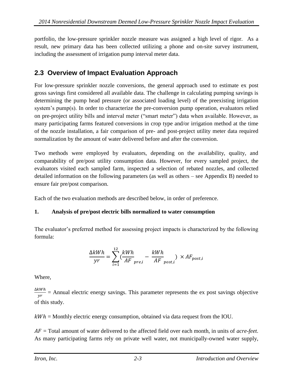portfolio, the low-pressure sprinkler nozzle measure was assigned a high level of rigor. As a result, new primary data has been collected utilizing a phone and on-site survey instrument, including the assessment of irrigation pump interval meter data.

## <span id="page-11-0"></span>**2.3 Overview of Impact Evaluation Approach**

For low-pressure sprinkler nozzle conversions, the general approach used to estimate ex post gross savings first considered all available data. The challenge in calculating pumping savings is determining the pump head pressure (or associated loading level) of the preexisting irrigation system's pump(s). In order to characterize the pre-conversion pump operation, evaluators relied on pre-project utility bills and interval meter ("smart meter") data when available. However, as many participating farms featured conversions in crop type and/or irrigation method at the time of the nozzle installation, a fair comparison of pre- and post-project utility meter data required normalization by the amount of water delivered before and after the conversion.

Two methods were employed by evaluators, depending on the availability, quality, and comparability of pre/post utility consumption data. However, for every sampled project, the evaluators visited each sampled farm, inspected a selection of rebated nozzles, and collected detailed information on the following parameters (as well as others – see Appendix B) needed to ensure fair pre/post comparison.

Each of the two evaluation methods are described below, in order of preference.

## **1. Analysis of pre/post electric bills normalized to water consumption**

The evaluator's preferred method for assessing project impacts is characterized by the following formula:

$$
\frac{\Delta kWh}{yr} = \sum_{i=1}^{12} \left( \frac{kWh}{AF}_{pre,i} - \frac{kWh}{AF}_{post,i} \right) \times AF_{post,i}
$$

Where,

∆ $kWh$  $\frac{w}{yr}$  = Annual electric energy savings. This parameter represents the ex post savings objective of this study.

 $kWh =$  Monthly electric energy consumption, obtained via data request from the IOU.

 $AF = \text{Total amount of water delivered to the affected field over each month, in units of *acre-feet*.$ As many participating farms rely on private well water, not municipally-owned water supply,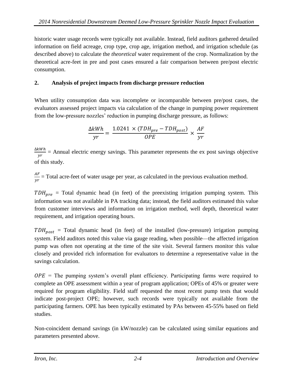historic water usage records were typically not available. Instead, field auditors gathered detailed information on field acreage, crop type, crop age, irrigation method, and irrigation schedule (as described above) to calculate the *theoretical* water requirement of the crop. Normalization by the theoretical acre-feet in pre and post cases ensured a fair comparison between pre/post electric consumption.

### **2. Analysis of project impacts from discharge pressure reduction**

When utility consumption data was incomplete or incomparable between pre/post cases, the evaluators assessed project impacts via calculation of the change in pumping power requirement from the low-pressure nozzles' reduction in pumping discharge pressure, as follows:

$$
\frac{\Delta kWh}{yr} = \frac{1.0241 \times (TDH_{pre} - TDH_{post})}{OPE} \times \frac{AF}{yr}
$$

∆ $kWh$  $\frac{w}{yr}$  = Annual electric energy savings. This parameter represents the ex post savings objective of this study.

 $AF$  $\frac{dr}{yr}$  = Total acre-feet of water usage per year, as calculated in the previous evaluation method.

 $TDH_{pre}$  = Total dynamic head (in feet) of the preexisting irrigation pumping system. This information was not available in PA tracking data; instead, the field auditors estimated this value from customer interviews and information on irrigation method, well depth, theoretical water requirement, and irrigation operating hours.

 $TDH_{post}$  = Total dynamic head (in feet) of the installed (low-pressure) irrigation pumping system. Field auditors noted this value via gauge reading, when possible—the affected irrigation pump was often not operating at the time of the site visit. Several farmers monitor this value closely and provided rich information for evaluators to determine a representative value in the savings calculation.

 $OPE =$  The pumping system's overall plant efficiency. Participating farms were required to complete an OPE assessment within a year of program application; OPEs of 45% or greater were required for program eligibility. Field staff requested the most recent pump tests that would indicate post-project OPE; however, such records were typically not available from the participating farmers. OPE has been typically estimated by PAs between 45-55% based on field studies.

Non-coincident demand savings (in kW/nozzle) can be calculated using similar equations and parameters presented above.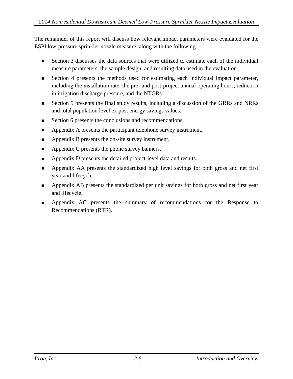The remainder of this report will discuss how relevant impact parameters were evaluated for the ESPI low-pressure sprinkler nozzle measure, along with the following:

- Section 3 discusses the data sources that were utilized to estimate each of the individual measure parameters, the sample design, and resulting data used in the evaluation.
- Section 4 presents the methods used for estimating each individual impact parameter, including the installation rate, the pre- and post-project annual operating hours, reduction in irrigation discharge pressure, and the NTGRs.
- Section 5 presents the final study results, including a discussion of the GRRs and NRRs and total population level ex post energy savings values.
- Section 6 presents the conclusions and recommendations.
- Appendix A presents the participant telephone survey instrument.
- **Appendix B presents the on-site survey instrument.**
- **Appendix C presents the phone survey banners.**
- Appendix D presents the detailed project-level data and results.
- Appendix AA presents the standardized high level savings for both gross and net first year and lifecycle.
- Appendix AB presents the standardized per unit savings for both gross and net first year and lifecycle.
- Appendix AC presents the summary of recommendations for the Response to Recommendations (RTR).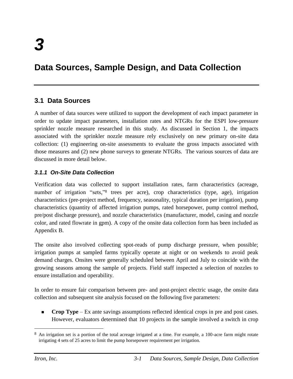# <span id="page-14-0"></span>**Data Sources, Sample Design, and Data Collection**

## <span id="page-14-1"></span>**3.1 Data Sources**

A number of data sources were utilized to support the development of each impact parameter in order to update impact parameters, installation rates and NTGRs for the ESPI low-pressure sprinkler nozzle measure researched in this study. As discussed in Section 1, the impacts associated with the sprinkler nozzle measure rely exclusively on new primary on-site data collection: (1) engineering on-site assessments to evaluate the gross impacts associated with those measures and (2) new phone surveys to generate NTGRs. The various sources of data are discussed in more detail below.

#### <span id="page-14-2"></span>*3.1.1 On-Site Data Collection*

Verification data was collected to support installation rates, farm characteristics (acreage, number of irrigation "sets,"<sup>8</sup> trees per acre), crop characteristics (type, age), irrigation characteristics (pre-project method, frequency, seasonality, typical duration per irrigation), pump characteristics (quantity of affected irrigation pumps, rated horsepower, pump control method, pre/post discharge pressure), and nozzle characteristics (manufacturer, model, casing and nozzle color, and rated flowrate in gpm). A copy of the onsite data collection form has been included as Appendix B.

The onsite also involved collecting spot-reads of pump discharge pressure, when possible; irrigation pumps at sampled farms typically operate at night or on weekends to avoid peak demand charges. Onsites were generally scheduled between April and July to coincide with the growing seasons among the sample of projects. Field staff inspected a selection of nozzles to ensure installation and operability.

In order to ensure fair comparison between pre- and post-project electric usage, the onsite data collection and subsequent site analysis focused on the following five parameters:

**Crop Type** – Ex ante savings assumptions reflected identical crops in pre and post cases. However, evaluators determined that 10 projects in the sample involved a switch in crop

<sup>&</sup>lt;sup>8</sup> An irrigation set is a portion of the total acreage irrigated at a time. For example, a 100-acre farm might rotate irrigating 4 sets of 25 acres to limit the pump horsepower requirement per irrigation.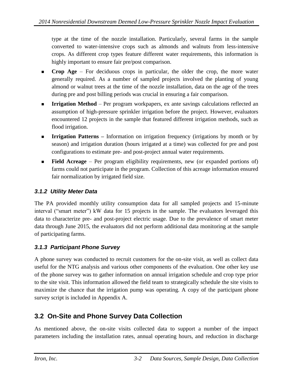type at the time of the nozzle installation. Particularly, several farms in the sample converted to water-intensive crops such as almonds and walnuts from less-intensive crops. As different crop types feature different water requirements, this information is highly important to ensure fair pre/post comparison.

- **Crop Age**  For deciduous crops in particular, the older the crop, the more water generally required. As a number of sampled projects involved the planting of young almond or walnut trees at the time of the nozzle installation, data on the age of the trees during pre and post billing periods was crucial in ensuring a fair comparison.
- **Irrigation Method** Per program workpapers, ex ante savings calculations reflected an assumption of high-pressure sprinkler irrigation before the project. However, evaluators encountered 12 projects in the sample that featured different irrigation methods, such as flood irrigation.
- **Irrigation Patterns –** Information on irrigation frequency (irrigations by month or by season) and irrigation duration (hours irrigated at a time) was collected for pre and post configurations to estimate pre- and post-project annual water requirements.
- **Field Acreage** Per program eligibility requirements, new (or expanded portions of) farms could not participate in the program. Collection of this acreage information ensured fair normalization by irrigated field size.

### <span id="page-15-0"></span>*3.1.2 Utility Meter Data*

The PA provided monthly utility consumption data for all sampled projects and 15-minute interval ("smart meter") kW data for 15 projects in the sample. The evaluators leveraged this data to characterize pre- and post-project electric usage. Due to the prevalence of smart meter data through June 2015, the evaluators did not perform additional data monitoring at the sample of participating farms.

### <span id="page-15-1"></span>*3.1.3 Participant Phone Survey*

A phone survey was conducted to recruit customers for the on-site visit, as well as collect data useful for the NTG analysis and various other components of the evaluation. One other key use of the phone survey was to gather information on annual irrigation schedule and crop type prior to the site visit. This information allowed the field team to strategically schedule the site visits to maximize the chance that the irrigation pump was operating. A copy of the participant phone survey script is included in Appendix A.

## <span id="page-15-2"></span>**3.2 On-Site and Phone Survey Data Collection**

As mentioned above, the on-site visits collected data to support a number of the impact parameters including the installation rates, annual operating hours, and reduction in discharge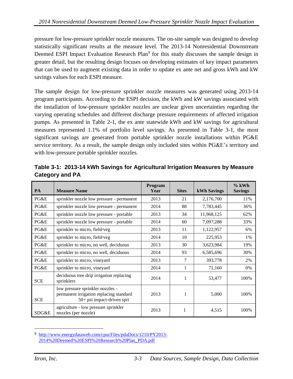pressure for low-pressure sprinkler nozzle measures. The on-site sample was designed to develop statistically significant results at the measure level. The 2013-14 Nonresidential Downstream Deemed ESPI Impact Evaluation Research Plan<sup>9</sup> for this study discusses the sample design in greater detail, but the resulting design focuses on developing estimates of key impact parameters that can be used to augment existing data in order to update ex ante net and gross kWh and kW savings values for each ESPI measure.

The sample design for low-pressure sprinkler nozzle measures was generated using 2013-14 program participants. According to the ESPI decision, the kWh and kW savings associated with the installation of low-pressure sprinkler nozzles are unclear given uncertainties regarding the varying operating schedules and different discharge pressure requirements of affected irrigation pumps. As presented in Table 2-1, the ex ante statewide kWh and kW savings for agricultural measures represented 1.1% of portfolio level savings. As presented in Table 3-1, the most significant savings are generated from portable sprinkler nozzle installations within PG&E service territory. As a result, the sample design only included sites within PG&E's territory and with low-pressure portable sprinkler nozzles.

| <b>PA</b>  | <b>Measure Name</b>                                                                                       | Program<br>Year | <b>Sites</b> | <b>kWh Savings</b> | $%$ kWh<br><b>Savings</b> |
|------------|-----------------------------------------------------------------------------------------------------------|-----------------|--------------|--------------------|---------------------------|
| PG&E       | sprinkler nozzle low pressure - permanent                                                                 | 2013            | 21           | 2,176,700          | 11%                       |
| PG&E       | sprinkler nozzle low pressure - permanent                                                                 | 2014            | 88           | 7,783,445          | 36%                       |
| PG&E       | sprinkler nozzle low pressure - portable                                                                  | 2013            | 34           | 11,968,125         | 62%                       |
| PG&E       | sprinkler nozzle low pressure - portable                                                                  | 2014            | 60           | 7,097,288          | 33%                       |
| PG&E       | sprinkler to micro, field/veg                                                                             | 2013            | 11           | 1,122,957          | 6%                        |
| PG&E       | sprinkler to micro, field/veg                                                                             | 2014            | 10           | 225,953            | 1%                        |
| PG&E       | sprinkler to micro, no well, deciduous                                                                    | 2013            | 30           | 3,623,984          | 19%                       |
| PG&E       | sprinkler to micro, no well, deciduous                                                                    | 2014            | 93           | 6,585,696          | 30%                       |
| PG&E       | sprinkler to micro, vineyard                                                                              | 2013            | 7            | 393,778            | 2%                        |
| PG&E       | sprinkler to micro, vineyard                                                                              | 2014            | 1            | 71,160             | 0%                        |
| <b>SCE</b> | deciduous tree drip irrigation replacing<br>sprinklers                                                    | 2014            | 1            | 53,477             | 100%                      |
| <b>SCE</b> | low pressure sprinkler nozzles -<br>permanent irrigation replacing standard<br>50+ psi impact-driven spri | 2013            | 1            | 5,000              | 100%                      |
| SDG&E      | agriculture - low pressure sprinkler<br>nozzles (per nozzle)                                              | 2013            |              | 4,515              | 100%                      |

<span id="page-16-0"></span>**Table 3-1: 2013-14 kWh Savings for Agricultural Irrigation Measures by Measure Category and PA**

<sup>9</sup> [http://www.energydataweb.com/cpucFiles/pdaDocs/1210/PY2013-](http://www.energydataweb.com/cpucFiles/pdaDocs/1210/PY2013-2014%20Deemed%20ESPI%20Research%20Plan_PDA.pdf) [2014%20Deemed%20ESPI%20Research%20Plan\\_PDA.pdf](http://www.energydataweb.com/cpucFiles/pdaDocs/1210/PY2013-2014%20Deemed%20ESPI%20Research%20Plan_PDA.pdf)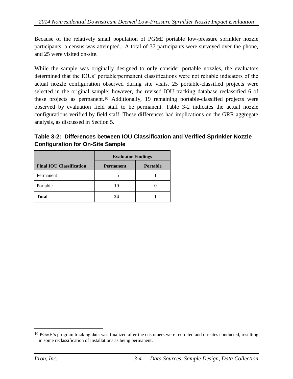Because of the relatively small population of PG&E portable low-pressure sprinkler nozzle participants, a census was attempted. A total of 37 participants were surveyed over the phone, and 25 were visited on-site.

While the sample was originally designed to only consider portable nozzles, the evaluators determined that the IOUs' portable/permanent classifications were not reliable indicators of the actual nozzle configuration observed during site visits. 25 portable-classified projects were selected in the original sample; however, the revised IOU tracking database reclassified 6 of these projects as permanent.<sup>10</sup> Additionally, 19 remaining portable-classified projects were observed by evaluation field staff to be permanent. Table 3-2 indicates the actual nozzle configurations verified by field staff. These differences had implications on the GRR aggregate analysis, as discussed in Section 5.

<span id="page-17-0"></span>**Table 3-2: Differences between IOU Classification and Verified Sprinkler Nozzle Configuration for On-Site Sample**

|                                 | <b>Evaluator Findings</b> |                 |  |  |  |
|---------------------------------|---------------------------|-----------------|--|--|--|
| <b>Final IOU Classification</b> | <b>Permanent</b>          | <b>Portable</b> |  |  |  |
| Permanent                       |                           |                 |  |  |  |
| Portable                        | 19                        |                 |  |  |  |
| <b>Total</b>                    | 24                        |                 |  |  |  |

 $10$  PG&E's program tracking data was finalized after the customers were recruited and on-sites conducted, resulting in some reclassification of installations as being permanent.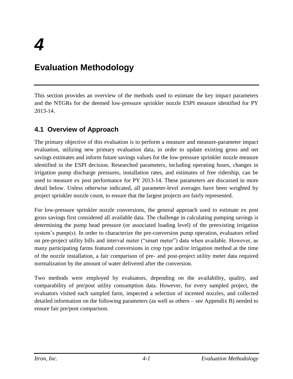# <span id="page-18-0"></span>**Evaluation Methodology**

This section provides an overview of the methods used to estimate the key impact parameters and the NTGRs for the deemed low-pressure sprinkler nozzle ESPI measure identified for PY 2013-14.

## <span id="page-18-1"></span>**4.1 Overview of Approach**

The primary objective of this evaluation is to perform a measure and measure-parameter impact evaluation, utilizing new primary evaluation data, in order to update existing gross and net savings estimates and inform future savings values for the low-pressure sprinkler nozzle measure identified in the ESPI decision. Researched parameters, including operating hours, changes in irrigation pump discharge pressures, installation rates, and estimates of free ridership, can be used to measure ex post performance for PY 2013-14. These parameters are discussed in more detail below. Unless otherwise indicated, all parameter-level averages have been weighted by project sprinkler nozzle count, to ensure that the largest projects are fairly represented.

For low-pressure sprinkler nozzle conversions, the general approach used to estimate ex post gross savings first considered all available data. The challenge in calculating pumping savings is determining the pump head pressure (or associated loading level) of the preexisting irrigation system's pump(s). In order to characterize the pre-conversion pump operation, evaluators relied on pre-project utility bills and interval meter ("smart meter") data when available. However, as many participating farms featured conversions in crop type and/or irrigation method at the time of the nozzle installation, a fair comparison of pre- and post-project utility meter data required normalization by the amount of water delivered after the conversion.

Two methods were employed by evaluators, depending on the availability, quality, and comparability of pre/post utility consumption data. However, for every sampled project, the evaluators visited each sampled farm, inspected a selection of incented nozzles, and collected detailed information on the following parameters (as well as others – see Appendix B) needed to ensure fair pre/post comparison.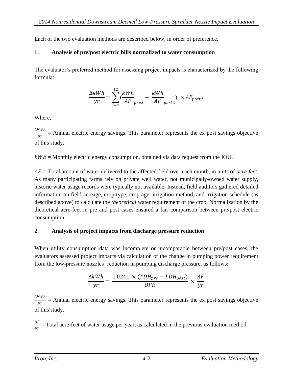Each of the two evaluation methods are described below, in order of preference.

### **1. Analysis of pre/post electric bills normalized to water consumption**

The evaluator's preferred method for assessing project impacts is characterized by the following formula:

$$
\frac{\Delta kWh}{yr} = \sum_{i=1}^{12} \left(\frac{kWh}{AF}_{pre,i} - \frac{kWh}{AF}_{post,i}\right) \times AF_{post,i}
$$

Where,

∆kWh  $\frac{\partial w_n}{\partial r}$  = Annual electric energy savings. This parameter represents the ex post savings objective of this study.

 $kWh =$  Monthly electric energy consumption, obtained via data request from the IOU.

 $AF = Total$  amount of water delivered to the affected field over each month, in units of *acre-feet*. As many participating farms rely on private well water, not municipally-owned water supply, historic water usage records were typically not available. Instead, field auditors gathered detailed information on field acreage, crop type, crop age, irrigation method, and irrigation schedule (as described above) to calculate the *theoretical* water requirement of the crop. Normalization by the theoretical acre-feet in pre and post cases ensured a fair comparison between pre/post electric consumption.

### **2. Analysis of project impacts from discharge pressure reduction**

When utility consumption data was incomplete or incomparable between pre/post cases, the evaluators assessed project impacts via calculation of the change in pumping power requirement from the low-pressure nozzles' reduction in pumping discharge pressure, as follows:

$$
\frac{\Delta kWh}{yr} = \frac{1.0241 \times (TDH_{pre} - TDH_{post})}{OPE} \times \frac{AF}{yr}
$$

∆kWh  $\frac{\partial w_n}{\partial r}$  = Annual electric energy savings. This parameter represents the ex post savings objective of this study.

 $AF$  $\frac{dr}{yr}$  = Total acre-feet of water usage per year, as calculated in the previous evaluation method.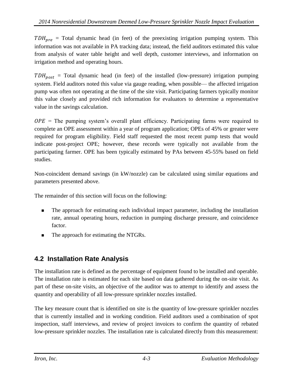$TDH_{pre}$  = Total dynamic head (in feet) of the preexisting irrigation pumping system. This information was not available in PA tracking data; instead, the field auditors estimated this value from analysis of water table height and well depth, customer interviews, and information on irrigation method and operating hours.

 $TDH_{post}$  = Total dynamic head (in feet) of the installed (low-pressure) irrigation pumping system. Field auditors noted this value via gauge reading, when possible— the affected irrigation pump was often not operating at the time of the site visit. Participating farmers typically monitor this value closely and provided rich information for evaluators to determine a representative value in the savings calculation.

 $OPE$  = The pumping system's overall plant efficiency. Participating farms were required to complete an OPE assessment within a year of program application; OPEs of 45% or greater were required for program eligibility. Field staff requested the most recent pump tests that would indicate post-project OPE; however, these records were typically not available from the participating farmer. OPE has been typically estimated by PAs between 45-55% based on field studies.

Non-coincident demand savings (in kW/nozzle) can be calculated using similar equations and parameters presented above.

The remainder of this section will focus on the following:

- The approach for estimating each individual impact parameter, including the installation rate, annual operating hours, reduction in pumping discharge pressure, and coincidence factor.
- The approach for estimating the NTGRs.

# <span id="page-20-0"></span>**4.2 Installation Rate Analysis**

The installation rate is defined as the percentage of equipment found to be installed and operable. The installation rate is estimated for each site based on data gathered during the on-site visit. As part of these on-site visits, an objective of the auditor was to attempt to identify and assess the quantity and operability of all low-pressure sprinkler nozzles installed.

The key measure count that is identified on site is the quantity of low-pressure sprinkler nozzles that is currently installed and in working condition. Field auditors used a combination of spot inspection, staff interviews, and review of project invoices to confirm the quantity of rebated low-pressure sprinkler nozzles. The installation rate is calculated directly from this measurement: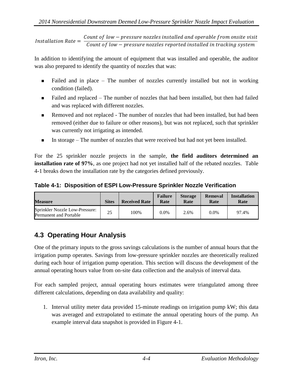Installation Rate = Count of low – pressure nozzles installed and operable from onsite visit Count of low – pressure nozzles reported installed in tracking system

In addition to identifying the amount of equipment that was installed and operable, the auditor was also prepared to identify the quantity of nozzles that was:

- Failed and in place The number of nozzles currently installed but not in working condition (failed).
- Failed and replaced The number of nozzles that had been installed, but then had failed and was replaced with different nozzles.
- **Removed and not replaced The number of nozzles that had been installed, but had been** removed (either due to failure or other reasons), but was not replaced, such that sprinkler was currently not irrigating as intended.
- In storage The number of nozzles that were received but had not yet been installed.

For the 25 sprinkler nozzle projects in the sample, **the field auditors determined an installation rate of 97%**, as one project had not yet installed half of the rebated nozzles. Table 4-1 breaks down the installation rate by the categories defined previously.

<span id="page-21-1"></span>**Table 4-1: Disposition of ESPI Low-Pressure Sprinkler Nozzle Verification**

| <b>Measure</b>                                                  | <b>Sites</b> | <b>Received Rate</b> | <b>Failure</b><br>Rate | <b>Storage</b><br>Rate | Removal<br>Rate | <b>Installation</b><br>Rate |
|-----------------------------------------------------------------|--------------|----------------------|------------------------|------------------------|-----------------|-----------------------------|
| Sprinkler Nozzle Low-Pressure:<br><b>Permanent and Portable</b> | 25           | 100%                 | $0.0\%$                | 2.6%                   | 0.0%            | 97.4%                       |

# <span id="page-21-0"></span>**4.3 Operating Hour Analysis**

One of the primary inputs to the gross savings calculations is the number of annual hours that the irrigation pump operates. Savings from low-pressure sprinkler nozzles are theoretically realized during each hour of irrigation pump operation. This section will discuss the development of the annual operating hours value from on-site data collection and the analysis of interval data.

For each sampled project, annual operating hours estimates were triangulated among three different calculations, depending on data availability and quality:

1. Interval utility meter data provided 15-minute readings on irrigation pump kW; this data was averaged and extrapolated to estimate the annual operating hours of the pump. An example interval data snapshot is provided in Figure 4-1.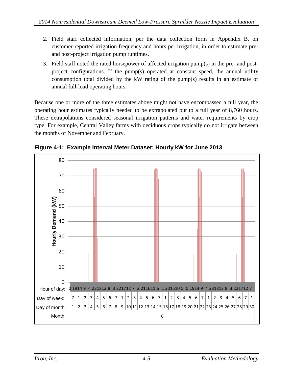- 2. Field staff collected information, per the data collection form in Appendix B, on customer-reported irrigation frequency and hours per irrigation, in order to estimate preand post-project irrigation pump runtimes.
- 3. Field staff noted the rated horsepower of affected irrigation pump(s) in the pre- and postproject configurations. If the pump(s) operated at constant speed, the annual utility consumption total divided by the kW rating of the pump(s) results in an estimate of annual full-load operating hours.

Because one or more of the three estimates above might not have encompassed a full year, the operating hour estimates typically needed to be extrapolated out to a full year of 8,760 hours. These extrapolations considered seasonal irrigation patterns and water requirements by crop type. For example, Central Valley farms with deciduous crops typically do not irrigate between the months of November and February.



<span id="page-22-0"></span>**Figure 4-1: Example Interval Meter Dataset: Hourly kW for June 2013**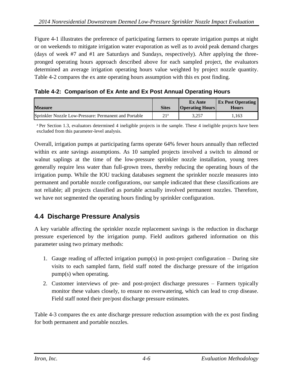Figure 4-1 illustrates the preference of participating farmers to operate irrigation pumps at night or on weekends to mitigate irrigation water evaporation as well as to avoid peak demand charges (days of week #7 and #1 are Saturdays and Sundays, respectively). After applying the threepronged operating hours approach described above for each sampled project, the evaluators determined an average irrigation operating hours value weighted by project nozzle quantity. Table 4-2 compares the ex ante operating hours assumption with this ex post finding.

<span id="page-23-1"></span>

|  |  |  |  |  | Table 4-2: Comparison of Ex Ante and Ex Post Annual Operating Hours |
|--|--|--|--|--|---------------------------------------------------------------------|
|--|--|--|--|--|---------------------------------------------------------------------|

| <b>Measure</b>                                        | <b>Sites</b>    | <b>Ex Ante</b><br><b>Operating Hours</b> | <b>Ex Post Operating</b><br>Hours |
|-------------------------------------------------------|-----------------|------------------------------------------|-----------------------------------|
| Sprinkler Nozzle Low-Pressure: Permanent and Portable | 21 <sup>a</sup> | 3.257                                    | .,163                             |

<sup>a</sup> Per Section 1.3, evaluators determined 4 ineligible projects in the sample. These 4 ineligible projects have been excluded from this parameter-level analysis.

Overall, irrigation pumps at participating farms operate 64% fewer hours annually than reflected within ex ante savings assumptions. As 10 sampled projects involved a switch to almond or walnut saplings at the time of the low-pressure sprinkler nozzle installation, young trees generally require less water than full-grown trees, thereby reducing the operating hours of the irrigation pump. While the IOU tracking databases segment the sprinkler nozzle measures into permanent and portable nozzle configurations, our sample indicated that these classifications are not reliable; all projects classified as portable actually involved permanent nozzles. Therefore, we have not segmented the operating hours finding by sprinkler configuration.

## <span id="page-23-0"></span>**4.4 Discharge Pressure Analysis**

A key variable affecting the sprinkler nozzle replacement savings is the reduction in discharge pressure experienced by the irrigation pump. Field auditors gathered information on this parameter using two primary methods:

- 1. Gauge reading of affected irrigation pump(s) in post-project configuration During site visits to each sampled farm, field staff noted the discharge pressure of the irrigation pump(s) when operating.
- 2. Customer interviews of pre- and post-project discharge pressures Farmers typically monitor these values closely, to ensure no overwatering, which can lead to crop disease. Field staff noted their pre/post discharge pressure estimates.

Table 4-3 compares the ex ante discharge pressure reduction assumption with the ex post finding for both permanent and portable nozzles.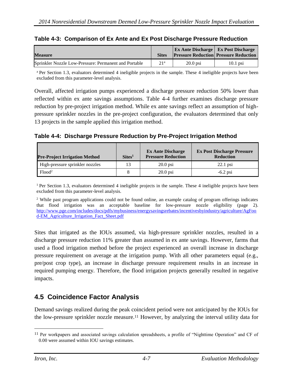<span id="page-24-1"></span>

| Table 4-3: Comparison of Ex Ante and Ex Post Discharge Pressure Reduction |  |  |  |  |
|---------------------------------------------------------------------------|--|--|--|--|
|                                                                           |  |  |  |  |

| <b>Measure</b>                                        |                 |            | <b>Ex Ante Discharge   Ex Post Discharge</b><br><b>Pressure Reduction Pressure Reduction</b> |
|-------------------------------------------------------|-----------------|------------|----------------------------------------------------------------------------------------------|
| Sprinkler Nozzle Low-Pressure: Permanent and Portable | 21 <sup>a</sup> | $20.0$ psi | $10.1$ psi                                                                                   |

<sup>a</sup> Per Section 1.3, evaluators determined 4 ineligible projects in the sample. These 4 ineligible projects have been excluded from this parameter-level analysis.

Overall, affected irrigation pumps experienced a discharge pressure reduction 50% lower than reflected within ex ante savings assumptions. Table 4-4 further examines discharge pressure reduction by pre-project irrigation method. While ex ante savings reflect an assumption of highpressure sprinkler nozzles in the pre-project configuration, the evaluators determined that only 13 projects in the sample applied this irrigation method.

<span id="page-24-2"></span>**Table 4-4: Discharge Pressure Reduction by Pre-Project Irrigation Method**

| <b>Pre-Project Irrigation Method</b> | $\text{Sites}^1$ | <b>Ex Ante Discharge</b><br><b>Pressure Reduction</b> | <b>Ex Post Discharge Pressure</b><br><b>Reduction</b> |
|--------------------------------------|------------------|-------------------------------------------------------|-------------------------------------------------------|
| High-pressure sprinkler nozzles      |                  | $20.0$ psi                                            | $22.1$ psi                                            |
| Flood <sup>2</sup>                   |                  | $20.0$ psi                                            | $-6.2$ psi                                            |

<sup>1</sup> Per Section 1.3, evaluators determined 4 ineligible projects in the sample. These 4 ineligible projects have been excluded from this parameter-level analysis.

<sup>2</sup> While past program applications could not be found online, an example catalog of program offerings indicates that flood irrigation was an acceptable baseline for low-pressure nozzle eligibility (page 2). [http://www.pge.com/includes/docs/pdfs/mybusiness/energysavingsrebates/incentivesbyindustry/agriculture/AgFoo](http://www.pge.com/includes/docs/pdfs/mybusiness/energysavingsrebates/incentivesbyindustry/agriculture/AgFood-EM_Agriculture_Irrigation_Fact_Sheet.pdf) [d-EM\\_Agriculture\\_Irrigation\\_Fact\\_Sheet.pdf](http://www.pge.com/includes/docs/pdfs/mybusiness/energysavingsrebates/incentivesbyindustry/agriculture/AgFood-EM_Agriculture_Irrigation_Fact_Sheet.pdf)

Sites that irrigated as the IOUs assumed, via high-pressure sprinkler nozzles, resulted in a discharge pressure reduction 11% greater than assumed in ex ante savings. However, farms that used a flood irrigation method before the project experienced an overall increase in discharge pressure requirement on average at the irrigation pump. With all other parameters equal (e.g., pre/post crop type), an increase in discharge pressure requirement results in an increase in required pumping energy. Therefore, the flood irrigation projects generally resulted in negative impacts.

## <span id="page-24-0"></span>**4.5 Coincidence Factor Analysis**

Demand savings realized during the peak coincident period were not anticipated by the IOUs for the low-pressure sprinkler nozzle measure. <sup>11</sup> However, by analyzing the interval utility data for

<sup>11</sup> Per workpapers and associated savings calculation spreadsheets, a profile of "Nighttime Operation" and CF of 0.00 were assumed within IOU savings estimates.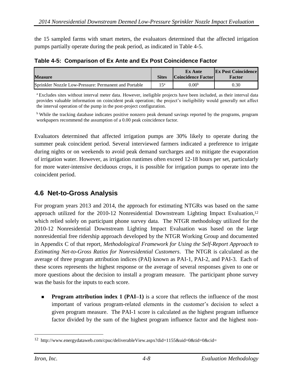the 15 sampled farms with smart meters, the evaluators determined that the affected irrigation pumps partially operate during the peak period, as indicated in Table 4-5.

<span id="page-25-1"></span>**Table 4-5: Comparison of Ex Ante and Ex Post Coincidence Factor**

| <b>Measure</b>                                        | <b>Sites</b> | <b>Ex Ante</b><br><b>Coincidence Factor</b> | <b>Ex Post Coincidence</b><br>Factor |
|-------------------------------------------------------|--------------|---------------------------------------------|--------------------------------------|
| Sprinkler Nozzle Low-Pressure: Permanent and Portable | $15^a$       | 0.00 <sup>b</sup>                           | 0.30                                 |

<sup>a</sup> Excludes sites without interval meter data. However, ineligible projects have been included, as their interval data provides valuable information on coincident peak operation; the project's ineligibility would generally not affect the interval operation of the pump in the post-project configuration.

<sup>b</sup> While the tracking database indicates positive nonzero peak demand savings reported by the programs, program workpapers recommend the assumption of a 0.00 peak coincidence factor.

Evaluators determined that affected irrigation pumps are 30% likely to operate during the summer peak coincident period. Several interviewed farmers indicated a preference to irrigate during nights or on weekends to avoid peak demand surcharges and to mitigate the evaporation of irrigation water. However, as irrigation runtimes often exceed 12-18 hours per set, particularly for more water-intensive deciduous crops, it is possible for irrigation pumps to operate into the coincident period.

## <span id="page-25-0"></span>**4.6 Net-to-Gross Analysis**

For program years 2013 and 2014, the approach for estimating NTGRs was based on the same approach utilized for the 2010-12 Nonresidential Downstream Lighting Impact Evaluation, 12 which relied solely on participant phone survey data. The NTGR methodology utilized for the 2010-12 Nonresidential Downstream Lighting Impact Evaluation was based on the large nonresidential free ridership approach developed by the NTGR Working Group and documented in Appendix C of that report, *Methodological Framework for Using the Self-Report Approach to Estimating Net-to-Gross Ratios for Nonresidential Customers*. The NTGR is calculated as the average of three program attribution indices (PAI) known as PAI-1, PAI-2, and PAI-3. Each of these scores represents the highest response or the average of several responses given to one or more questions about the decision to install a program measure. The participant phone survey was the basis for the inputs to each score.

**Program attribution index 1 (PAI–1)** is a score that reflects the influence of the most important of various program-related elements in the customer's decision to select a given program measure. The PAI-1 score is calculated as the highest program influence factor divided by the sum of the highest program influence factor and the highest non-

<sup>12</sup> http://www.energydataweb.com/cpuc/deliverableView.aspx?did=1155&uid=0&tid=0&cid=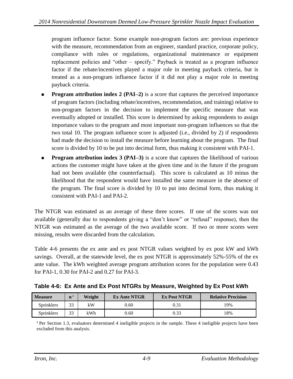program influence factor. Some example non-program factors are: previous experience with the measure, recommendation from an engineer, standard practice, corporate policy, compliance with rules or regulations, organizational maintenance or equipment replacement policies and "other – specify." Payback is treated as a program influence factor if the rebate/incentives played a major role in meeting payback criteria, but is treated as a non-program influence factor if it did not play a major role in meeting payback criteria.

- **Program attribution index 2 (PAI–2)** is a score that captures the perceived importance of program factors (including rebate/incentives, recommendation, and training) relative to non-program factors in the decision to implement the specific measure that was eventually adopted or installed. This score is determined by asking respondents to assign importance values to the program and most important non-program influences so that the two total 10. The program influence score is adjusted (i.e., divided by 2) if respondents had made the decision to install the measure before learning about the program. The final score is divided by 10 to be put into decimal form, thus making it consistent with PAI-1.
- **Program attribution index 3 (PAI–3)** is a score that captures the likelihood of various actions the customer might have taken at the given time and in the future if the program had not been available (the counterfactual). This score is calculated as 10 minus the likelihood that the respondent would have installed the same measure in the absence of the program. The final score is divided by 10 to put into decimal form, thus making it consistent with PAI-1 and PAI-2.

The NTGR was estimated as an average of these three scores. If one of the scores was not available (generally due to respondents giving a "don't know" or "refusal" response), then the NTGR was estimated as the average of the two available score. If two or more scores were missing, results were discarded from the calculation.

Table 4-6 presents the ex ante and ex post NTGR values weighted by ex post kW and kWh savings. Overall, at the statewide level, the ex post NTGR is approximately 52%-55% of the ex ante value. The kWh weighted average program attribution scores for the population were 0.43 for PAI-1, 0.30 for PAI-2 and 0.27 for PAI-3.

<span id="page-26-0"></span>

|  | Table 4-6: Ex Ante and Ex Post NTGRs by Measure, Weighted by Ex Post kWh |  |  |
|--|--------------------------------------------------------------------------|--|--|

| <b>Measure</b>    | $\mathbf{n}^{\,a}$ | Weight | <b>Ex Ante NTGR</b> | <b>Ex Post NTGR</b> | <b>Relative Precision</b> |
|-------------------|--------------------|--------|---------------------|---------------------|---------------------------|
| Sprinklers        | 33                 | kW     | 0.60                | 0.31                | '9%                       |
| <b>Sprinklers</b> | 33                 | kWh    | 0.60                | 0.33                | 8%                        |

<sup>a</sup> Per Section 1.3, evaluators determined 4 ineligible projects in the sample. These 4 ineligible projects have been excluded from this analysis.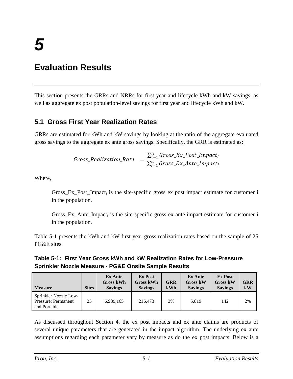# <span id="page-27-0"></span>**Evaluation Results**

This section presents the GRRs and NRRs for first year and lifecycle kWh and kW savings, as well as aggregate ex post population-level savings for first year and lifecycle kWh and kW.

## <span id="page-27-1"></span>**5.1 Gross First Year Realization Rates**

GRRs are estimated for kWh and kW savings by looking at the ratio of the aggregate evaluated gross savings to the aggregate ex ante gross savings. Specifically, the GRR is estimated as:

$$
Gross\_Realization\_Rate = \frac{\sum_{i=1}^{n} Gross\_Ex\_Post\_impact_i}{\sum_{i=1}^{n} Gross\_Ex\_Ante\_impact_i}
$$

Where,

Gross\_Ex\_Post\_Impact<sub>i</sub> is the site-specific gross ex post impact estimate for customer i in the population.

Gross\_Ex\_Ante\_Impact<sub>i</sub> is the site-specific gross ex ante impact estimate for customer i in the population.

Table 5-1 presents the kWh and kW first year gross realization rates based on the sample of 25 PG&E sites.

### <span id="page-27-2"></span>**Table 5-1: First Year Gross kWh and kW Realization Rates for Low-Pressure Sprinkler Nozzle Measure - PG&E Onsite Sample Results**

| <b>Measure</b>                                               | <b>Sites</b> | <b>Ex Ante</b><br><b>Gross kWh</b><br><b>Savings</b> | <b>Ex Post</b><br><b>Gross kWh</b><br><b>Savings</b> | <b>GRR</b><br>kWh | <b>Ex Ante</b><br><b>Gross kW</b><br><b>Savings</b> | <b>Ex Post</b><br><b>Gross kW</b><br><b>Savings</b> | <b>GRR</b><br>kW |
|--------------------------------------------------------------|--------------|------------------------------------------------------|------------------------------------------------------|-------------------|-----------------------------------------------------|-----------------------------------------------------|------------------|
| Sprinkler Nozzle Low-<br>Pressure: Permanent<br>and Portable | 25           | 6,939,165                                            | 216,473                                              | 3%                | 5.819                                               | 142                                                 | 2%               |

As discussed throughout Section 4, the ex post impacts and ex ante claims are products of several unique parameters that are generated in the impact algorithm. The underlying ex ante assumptions regarding each parameter vary by measure as do the ex post impacts. Below is a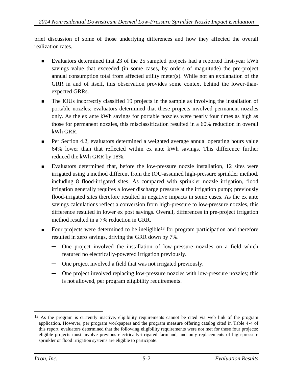brief discussion of some of those underlying differences and how they affected the overall realization rates.

- Evaluators determined that 23 of the 25 sampled projects had a reported first-year kWh savings value that exceeded (in some cases, by orders of magnitude) the pre-project annual consumption total from affected utility meter(s). While not an explanation of the GRR in and of itself, this observation provides some context behind the lower-thanexpected GRRs.
- The IOUs incorrectly classified 19 projects in the sample as involving the installation of portable nozzles; evaluators determined that these projects involved permanent nozzles only. As the ex ante kWh savings for portable nozzles were nearly four times as high as those for permanent nozzles, this misclassification resulted in a 60% reduction in overall kWh GRR.
- Per Section 4.2, evaluators determined a weighted average annual operating hours value 64% lower than that reflected within ex ante kWh savings. This difference further reduced the kWh GRR by 18%.
- Evaluators determined that, before the low-pressure nozzle installation, 12 sites were irrigated using a method different from the IOU-assumed high-pressure sprinkler method, including 8 flood-irrigated sites. As compared with sprinkler nozzle irrigation, flood irrigation generally requires a lower discharge pressure at the irrigation pump; previously flood-irrigated sites therefore resulted in negative impacts in some cases. As the ex ante savings calculations reflect a conversion from high-pressure to low-pressure nozzles, this difference resulted in lower ex post savings. Overall, differences in pre-project irrigation method resulted in a 7% reduction in GRR.
- Four projects were determined to be ineligible<sup>13</sup> for program participation and therefore resulted in zero savings, driving the GRR down by 7%.
	- **─** One project involved the installation of low-pressure nozzles on a field which featured no electrically-powered irrigation previously.
	- **─** One project involved a field that was not irrigated previously.
	- **─** One project involved replacing low-pressure nozzles with low-pressure nozzles; this is not allowed, per program eligibility requirements.

<sup>13</sup> As the program is currently inactive, eligibility requirements cannot be cited via web link of the program application. However, per program workpapers and the program measure offering catalog cited in Table 4-4 of this report, evaluators determined that the following eligibility requirements were not met for these four projects: eligible projects must involve previous electrically-irrigated farmland, and only replacements of high-pressure sprinkler or flood irrigation systems are eligible to participate.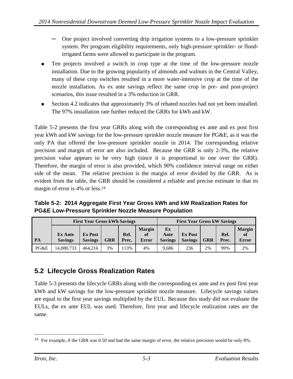- **─** One project involved converting drip irrigation systems to a low-pressure sprinkler system. Per program eligibility requirements, only high-pressure sprinkler- or floodirrigated farms were allowed to participate in the program.
- Ten projects involved a switch in crop type at the time of the low-pressure nozzle installation. Due to the growing popularity of almonds and walnuts in the Central Valley, many of these crop switches resulted in a more water-intensive crop at the time of the nozzle installation. As ex ante savings reflect the same crop in pre- and post-project scenarios, this issue resulted in a 3% reduction in GRR.
- Section 4.2 indicates that approximately 3% of rebated nozzles had not yet been installed. The 97% installation rate further reduced the GRRs for kWh and kW.

Table 5-2 presents the first year GRRs along with the corresponding ex ante and ex post first year kWh and kW savings for the low-pressure sprinkler nozzle measure for PG&E, as it was the only PA that offered the low-pressure sprinkler nozzle in 2014. The corresponding relative precision and margin of error are also included. Because the GRR is only 2-3%, the relative precision value appears to be very high (since it is proportional to one over the GRR). Therefore, the margin of error is also provided, which 90% confidence interval range on either side of the mean. The relative precision is the margin of error divided by the GRR. As is evident from the table, the GRR should be considered a reliable and precise estimate in that its margin of error is 4% or less.<sup>14</sup>

<span id="page-29-1"></span>**Table 5-2: 2014 Aggregate First Year Gross kWh and kW Realization Rates for PG&E Low-Pressure Sprinkler Nozzle Measure Population**

|      | <b>First Year Gross kWh Savings</b> | <b>First Year Gross kW Savings</b> |            |               |                                     |                              |                                  |            |               |                                     |
|------|-------------------------------------|------------------------------------|------------|---------------|-------------------------------------|------------------------------|----------------------------------|------------|---------------|-------------------------------------|
| PA   | <b>Ex Ante</b><br><b>Savings</b>    | <b>Ex Post</b><br><b>Savings</b>   | <b>GRR</b> | Rel.<br>Prec. | <b>Margin</b><br>of<br><b>Error</b> | Ex<br>Ante<br><b>Savings</b> | <b>Ex Post</b><br><b>Savings</b> | <b>GRR</b> | Rel.<br>Prec. | <b>Margin</b><br>of<br><b>Error</b> |
| PG&E | 14,880,733                          | 464,216                            | 3%         | 13%           | 4%                                  | 9.686                        | 236                              | 2%         | 99%           | 2%                                  |

## <span id="page-29-0"></span>**5.2 Lifecycle Gross Realization Rates**

Table 5-3 presents the lifecycle GRRs along with the corresponding ex ante and ex post first year kWh and kW savings for the low-pressure sprinkler nozzle measure. Lifecycle savings values are equal to the first year savings multiplied by the EUL. Because this study did not evaluate the EULs, the ex ante EUL was used. Therefore, first year and lifecycle realization rates are the same.

<sup>&</sup>lt;sup>14</sup> For example, if the GRR was 0.50 and had the same margin of error, the relative precision would be only 8%.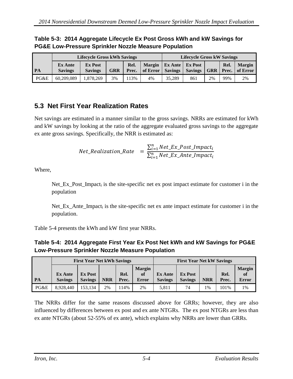## <span id="page-30-1"></span>**Table 5-3: 2014 Aggregate Lifecycle Ex Post Gross kWh and kW Savings for PG&E Low-Pressure Sprinkler Nozzle Measure Population**

|      |                                  | <b>Lifecycle Gross kWh Savings</b> |            | <b>Lifecycle Gross kW Savings</b> |                           |                                           |                                  |            |               |                           |
|------|----------------------------------|------------------------------------|------------|-----------------------------------|---------------------------|-------------------------------------------|----------------------------------|------------|---------------|---------------------------|
| PA   | <b>Ex Ante</b><br><b>Savings</b> | <b>Ex Post</b><br><b>Savings</b>   | <b>GRR</b> | Rel.<br>Prec.                     | <b>Margin</b><br>of Error | $\vert$ Ex Ante $\vert$<br><b>Savings</b> | <b>Ex Post</b><br><b>Savings</b> | <b>GRR</b> | Rel.<br>Prec. | <b>Margin</b><br>of Error |
| PG&E | 60.209.089                       | 1,878,269                          | 3%         | 13%                               | 4%                        | 35.289                                    | 861                              | 2%         | 99%           | 2%                        |

## <span id="page-30-0"></span>**5.3 Net First Year Realization Rates**

Net savings are estimated in a manner similar to the gross savings. NRRs are estimated for kWh and kW savings by looking at the ratio of the aggregate evaluated gross savings to the aggregate ex ante gross savings. Specifically, the NRR is estimated as:

$$
Net\_Realization\_Rate = \frac{\sum_{i=1}^{n} Net\_Ex\_Post\_impact_i}{\sum_{i=1}^{n} Net\_Ex\_Ante\_impact_i}
$$

Where,

Net\_Ex\_Post\_Impact<sub>i</sub> is the site-specific net ex post impact estimate for customer i in the population

Net\_Ex\_Ante\_Impact<sub>i</sub> is the site-specific net ex ante impact estimate for customer i in the population.

Table 5-4 presents the kWh and kW first year NRRs.

<span id="page-30-2"></span>**Table 5-4: 2014 Aggregate First Year Ex Post Net kWh and kW Savings for PG&E Low-Pressure Sprinkler Nozzle Measure Population**

|      | <b>First Year Net kWh Savings</b> |                                  |            |               |                                     | <b>First Year Net kW Savings</b> |                                  |            |               |                                     |
|------|-----------------------------------|----------------------------------|------------|---------------|-------------------------------------|----------------------------------|----------------------------------|------------|---------------|-------------------------------------|
| PA   | <b>Ex Ante</b><br><b>Savings</b>  | <b>Ex Post</b><br><b>Savings</b> | <b>NRR</b> | Rel.<br>Prec. | <b>Margin</b><br>of<br><b>Error</b> | <b>Ex Ante</b><br><b>Savings</b> | <b>Ex Post</b><br><b>Savings</b> | <b>NRR</b> | Rel.<br>Prec. | <b>Margin</b><br>of<br><b>Error</b> |
| PG&E | 8,928,440                         | 153.134                          | 2%         | 14%           | 2%                                  | 5,811                            | 74                               | $1\%$      | 101%          | 1%                                  |

The NRRs differ for the same reasons discussed above for GRRs; however, they are also influenced by differences between ex post and ex ante NTGRs. The ex post NTGRs are less than ex ante NTGRs (about 52-55% of ex ante), which explains why NRRs are lower than GRRs.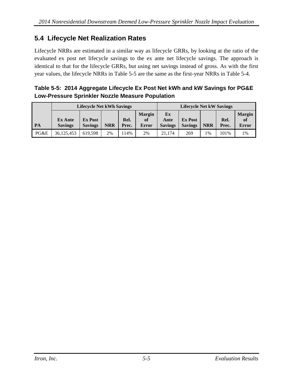## <span id="page-31-0"></span>**5.4 Lifecycle Net Realization Rates**

Lifecycle NRRs are estimated in a similar way as lifecycle GRRs, by looking at the ratio of the evaluated ex post net lifecycle savings to the ex ante net lifecycle savings. The approach is identical to that for the lifecycle GRRs, but using net savings instead of gross. As with the first year values, the lifecycle NRRs in Table 5-5 are the same as the first-year NRRs in Table 5-4.

<span id="page-31-1"></span>

| Table 5-5: 2014 Aggregate Lifecycle Ex Post Net kWh and kW Savings for PG&E |  |
|-----------------------------------------------------------------------------|--|
| Low-Pressure Sprinkler Nozzle Measure Population                            |  |

|      | <b>Lifecycle Net kWh Savings</b> |                                  |            |               |                                         | <b>Lifecycle Net kW Savings</b> |                                  |            |               |                              |
|------|----------------------------------|----------------------------------|------------|---------------|-----------------------------------------|---------------------------------|----------------------------------|------------|---------------|------------------------------|
| PA   | <b>Ex Ante</b><br><b>Savings</b> | <b>Ex Post</b><br><b>Savings</b> | <b>NRR</b> | Rel.<br>Prec. | <b>Margin</b><br><sub>of</sub><br>Error | Ex<br>Ante<br><b>Savings</b>    | <b>Ex Post</b><br><b>Savings</b> | <b>NRR</b> | Rel.<br>Prec. | <b>Margin</b><br>of<br>Error |
| PG&E | 36,125,453                       | 619.598                          | 2%         | 14%           | 2%                                      | 21.174                          | 269                              | $1\%$      | 101%          | 1%                           |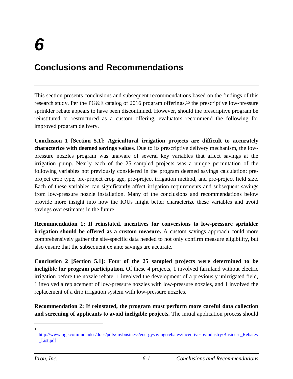# <span id="page-32-0"></span>**Conclusions and Recommendations**

This section presents conclusions and subsequent recommendations based on the findings of this research study. Per the PG&E catalog of 2016 program offerings,<sup>15</sup> the prescriptive low-pressure sprinkler rebate appears to have been discontinued. However, should the prescriptive program be reinstituted or restructured as a custom offering, evaluators recommend the following for improved program delivery.

**Conclusion 1 [Section 5.1]: Agricultural irrigation projects are difficult to accurately characterize with deemed savings values.** Due to its prescriptive delivery mechanism, the lowpressure nozzles program was unaware of several key variables that affect savings at the irrigation pump. Nearly each of the 25 sampled projects was a unique permutation of the following variables not previously considered in the program deemed savings calculation: preproject crop type, pre-project crop age, pre-project irrigation method, and pre-project field size. Each of these variables can significantly affect irrigation requirements and subsequent savings from low-pressure nozzle installation. Many of the conclusions and recommendations below provide more insight into how the IOUs might better characterize these variables and avoid savings overestimates in the future.

**Recommendation 1: If reinstated, incentives for conversions to low-pressure sprinkler irrigation should be offered as a custom measure.** A custom savings approach could more comprehensively gather the site-specific data needed to not only confirm measure eligibility, but also ensure that the subsequent ex ante savings are accurate.

**Conclusion 2 [Section 5.1]: Four of the 25 sampled projects were determined to be ineligible for program participation.** Of these 4 projects, 1 involved farmland without electric irrigation before the nozzle rebate, 1 involved the development of a previously unirrigated field, 1 involved a replacement of low-pressure nozzles with low-pressure nozzles, and 1 involved the replacement of a drip irrigation system with low-pressure nozzles.

**Recommendation 2: If reinstated, the program must perform more careful data collection and screening of applicants to avoid ineligible projects.** The initial application process should

[http://www.pge.com/includes/docs/pdfs/mybusiness/energysavingsrebates/incentivesbyindustry/Business\\_Rebates](http://www.pge.com/includes/docs/pdfs/mybusiness/energysavingsrebates/incentivesbyindustry/Business_Rebates_List.pdf) [\\_List.pdf](http://www.pge.com/includes/docs/pdfs/mybusiness/energysavingsrebates/incentivesbyindustry/Business_Rebates_List.pdf)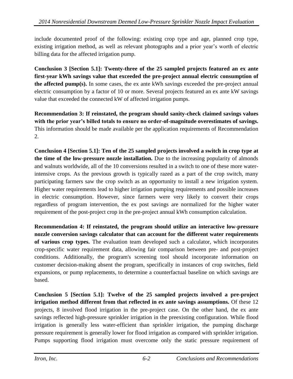include documented proof of the following: existing crop type and age, planned crop type, existing irrigation method, as well as relevant photographs and a prior year's worth of electric billing data for the affected irrigation pump.

**Conclusion 3 [Section 5.1]: Twenty-three of the 25 sampled projects featured an ex ante first-year kWh savings value that exceeded the pre-project annual electric consumption of the affected pump(s).** In some cases, the ex ante kWh savings exceeded the pre-project annual electric consumption by a factor of 10 or more. Several projects featured an ex ante kW savings value that exceeded the connected kW of affected irrigation pumps.

**Recommendation 3: If reinstated, the program should sanity-check claimed savings values with the prior year's billed totals to ensure no order-of-magnitude overestimates of savings.** This information should be made available per the application requirements of Recommendation 2.

**Conclusion 4 [Section 5.1]: Ten of the 25 sampled projects involved a switch in crop type at the time of the low-pressure nozzle installation.** Due to the increasing popularity of almonds and walnuts worldwide, all of the 10 conversions resulted in a switch to one of these more waterintensive crops. As the previous growth is typically razed as a part of the crop switch, many participating farmers saw the crop switch as an opportunity to install a new irrigation system. Higher water requirements lead to higher irrigation pumping requirements and possible increases in electric consumption. However, since farmers were very likely to convert their crops regardless of program intervention, the ex post savings are normalized for the higher water requirement of the post-project crop in the pre-project annual kWh consumption calculation.

**Recommendation 4: If reinstated, the program should utilize an interactive low-pressure nozzle conversion savings calculator that can account for the different water requirements of various crop types.** The evaluation team developed such a calculator, which incorporates crop-specific water requirement data, allowing fair comparison between pre- and post-project conditions. Additionally, the program's screening tool should incorporate information on customer decision-making absent the program, specifically in instances of crop switches, field expansions, or pump replacements, to determine a counterfactual baseline on which savings are based.

**Conclusion 5 [Section 5.1]: Twelve of the 25 sampled projects involved a pre-project irrigation method different from that reflected in ex ante savings assumptions.** Of these 12 projects, 8 involved flood irrigation in the pre-project case. On the other hand, the ex ante savings reflected high-pressure sprinkler irrigation in the preexisting configuration. While flood irrigation is generally less water-efficient than sprinkler irrigation, the pumping discharge pressure requirement is generally lower for flood irrigation as compared with sprinkler irrigation. Pumps supporting flood irrigation must overcome only the static pressure requirement of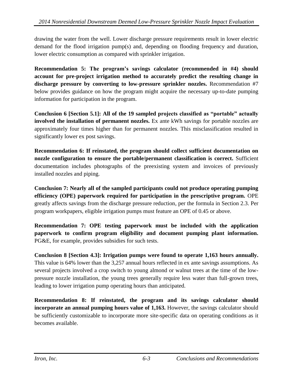drawing the water from the well. Lower discharge pressure requirements result in lower electric demand for the flood irrigation pump(s) and, depending on flooding frequency and duration, lower electric consumption as compared with sprinkler irrigation.

**Recommendation 5: The program's savings calculator (recommended in #4) should account for pre-project irrigation method to accurately predict the resulting change in discharge pressure by converting to low-pressure sprinkler nozzles.** Recommendation #7 below provides guidance on how the program might acquire the necessary up-to-date pumping information for participation in the program.

**Conclusion 6 [Section 5.1]: All of the 19 sampled projects classified as "portable" actually involved the installation of permanent nozzles.** Ex ante kWh savings for portable nozzles are approximately four times higher than for permanent nozzles. This misclassification resulted in significantly lower ex post savings.

**Recommendation 6: If reinstated, the program should collect sufficient documentation on nozzle configuration to ensure the portable/permanent classification is correct.** Sufficient documentation includes photographs of the preexisting system and invoices of previously installed nozzles and piping.

**Conclusion 7: Nearly all of the sampled participants could not produce operating pumping efficiency (OPE) paperwork required for participation in the prescriptive program.** OPE greatly affects savings from the discharge pressure reduction, per the formula in Section 2.3. Per program workpapers, eligible irrigation pumps must feature an OPE of 0.45 or above.

**Recommendation 7: OPE testing paperwork must be included with the application paperwork to confirm program eligibility and document pumping plant information.** PG&E, for example, provides subsidies for such tests.

**Conclusion 8 [Section 4.3]: Irrigation pumps were found to operate 1,163 hours annually.**  This value is 64% lower than the 3,257 annual hours reflected in ex ante savings assumptions. As several projects involved a crop switch to young almond or walnut trees at the time of the lowpressure nozzle installation, the young trees generally require less water than full-grown trees, leading to lower irrigation pump operating hours than anticipated.

**Recommendation 8: If reinstated, the program and its savings calculator should incorporate an annual pumping hours value of 1,163.** However, the savings calculator should be sufficiently customizable to incorporate more site-specific data on operating conditions as it becomes available.